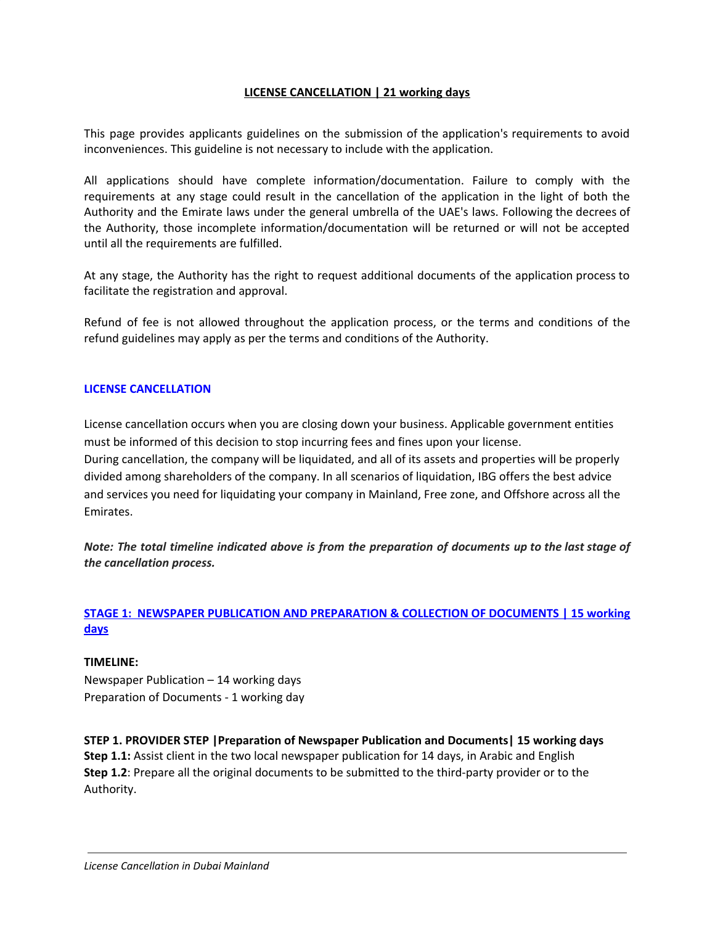## **LICENSE CANCELLATION | 21 working days**

This page provides applicants guidelines on the submission of the application's requirements to avoid inconveniences. This guideline is not necessary to include with the application.

All applications should have complete information/documentation. Failure to comply with the requirements at any stage could result in the cancellation of the application in the light of both the Authority and the Emirate laws under the general umbrella of the UAE's laws. Following the decrees of the Authority, those incomplete information/documentation will be returned or will not be accepted until all the requirements are fulfilled.

At any stage, the Authority has the right to request additional documents of the application process to facilitate the registration and approval.

Refund of fee is not allowed throughout the application process, or the terms and conditions of the refund guidelines may apply as per the terms and conditions of the Authority.

## **LICENSE CANCELLATION**

License cancellation occurs when you are closing down your business. Applicable government entities must be informed of this decision to stop incurring fees and fines upon your license. During cancellation, the company will be liquidated, and all of its assets and properties will be properly divided among shareholders of the company. In all scenarios of liquidation, IBG offers the best advice and services you need for liquidating your company in Mainland, Free zone, and Offshore across all the Emirates.

Note: The total timeline indicated above is from the preparation of documents up to the last stage of *the cancellation process.*

# **STAGE 1: NEWSPAPER PUBLICATION AND PREPARATION & COLLECTION OF DOCUMENTS | 15 working days**

## **TIMELINE:**

Newspaper Publication – 14 working days Preparation of Documents - 1 working day

**STEP 1. PROVIDER STEP |Preparation of Newspaper Publication and Documents| 15 working days Step 1.1:** Assist client in the two local newspaper publication for 14 days, in Arabic and English **Step 1.2**: Prepare all the original documents to be submitted to the third-party provider or to the Authority.